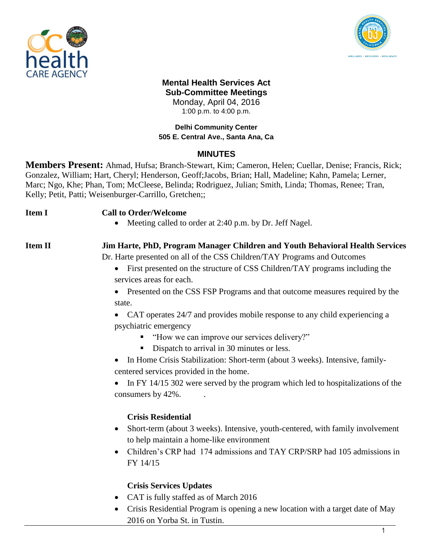



#### **Mental Health Services Act Sub-Committee Meetings** Monday, April 04, 2016

1:00 p.m. to 4:00 p.m.

#### **Delhi Community Center 505 E. Central Ave., Santa Ana, Ca**

# **MINUTES**

**Members Present:** Ahmad, Hufsa; Branch-Stewart, Kim; Cameron, Helen; Cuellar, Denise; Francis, Rick; Gonzalez, William; Hart, Cheryl; Henderson, Geoff;Jacobs, Brian; Hall, Madeline; Kahn, Pamela; Lerner, Marc; Ngo, Khe; Phan, Tom; McCleese, Belinda; Rodriguez, Julian; Smith, Linda; Thomas, Renee; Tran, Kelly; Petit, Patti; Weisenburger-Carrillo, Gretchen;;

# **Item I Call to Order/Welcome**

• Meeting called to order at 2:40 p.m. by Dr. Jeff Nagel.

# **Item II Jim Harte, PhD, Program Manager Children and Youth Behavioral Health Services**

Dr. Harte presented on all of the CSS Children/TAY Programs and Outcomes

• First presented on the structure of CSS Children/TAY programs including the services areas for each.

• Presented on the CSS FSP Programs and that outcome measures required by the state.

• CAT operates 24/7 and provides mobile response to any child experiencing a psychiatric emergency

- "How we can improve our services delivery?"
- Dispatch to arrival in 30 minutes or less.
- In Home Crisis Stabilization: Short-term (about 3 weeks). Intensive, familycentered services provided in the home.
- In FY 14/15 302 were served by the program which led to hospitalizations of the consumers by 42%. .

# **Crisis Residential**

- Short-term (about 3 weeks). Intensive, youth-centered, with family involvement to help maintain a home-like environment
- Children's CRP had 174 admissions and TAY CRP/SRP had 105 admissions in FY 14/15

# **Crisis Services Updates**

- CAT is fully staffed as of March 2016
- Crisis Residential Program is opening a new location with a target date of May 2016 on Yorba St. in Tustin.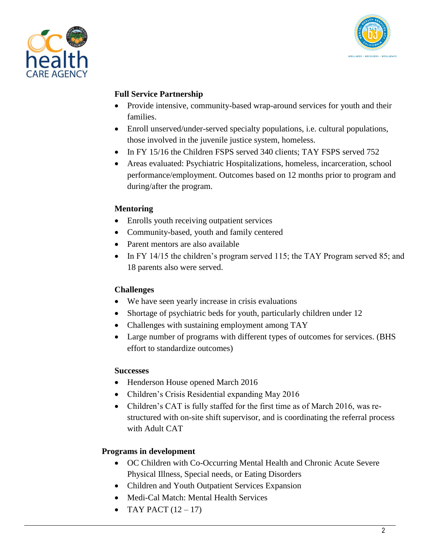



#### **Full Service Partnership**

- Provide intensive, community-based wrap-around services for youth and their families.
- Enroll unserved/under-served specialty populations, i.e. cultural populations, those involved in the juvenile justice system, homeless.
- In FY 15/16 the Children FSPS served 340 clients; TAY FSPS served 752
- Areas evaluated: Psychiatric Hospitalizations, homeless, incarceration, school performance/employment. Outcomes based on 12 months prior to program and during/after the program.

#### **Mentoring**

- Enrolls youth receiving outpatient services
- Community-based, youth and family centered
- Parent mentors are also available
- In FY 14/15 the children's program served 115; the TAY Program served 85; and 18 parents also were served.

# **Challenges**

- We have seen yearly increase in crisis evaluations
- Shortage of psychiatric beds for youth, particularly children under 12
- Challenges with sustaining employment among TAY
- Large number of programs with different types of outcomes for services. (BHS effort to standardize outcomes)

# **Successes**

- Henderson House opened March 2016
- Children's Crisis Residential expanding May 2016
- Children's CAT is fully staffed for the first time as of March 2016, was restructured with on-site shift supervisor, and is coordinating the referral process with Adult CAT

# **Programs in development**

- OC Children with Co-Occurring Mental Health and Chronic Acute Severe Physical Illness, Special needs, or Eating Disorders
- Children and Youth Outpatient Services Expansion
- Medi-Cal Match: Mental Health Services
- TAY PACT  $(12 17)$